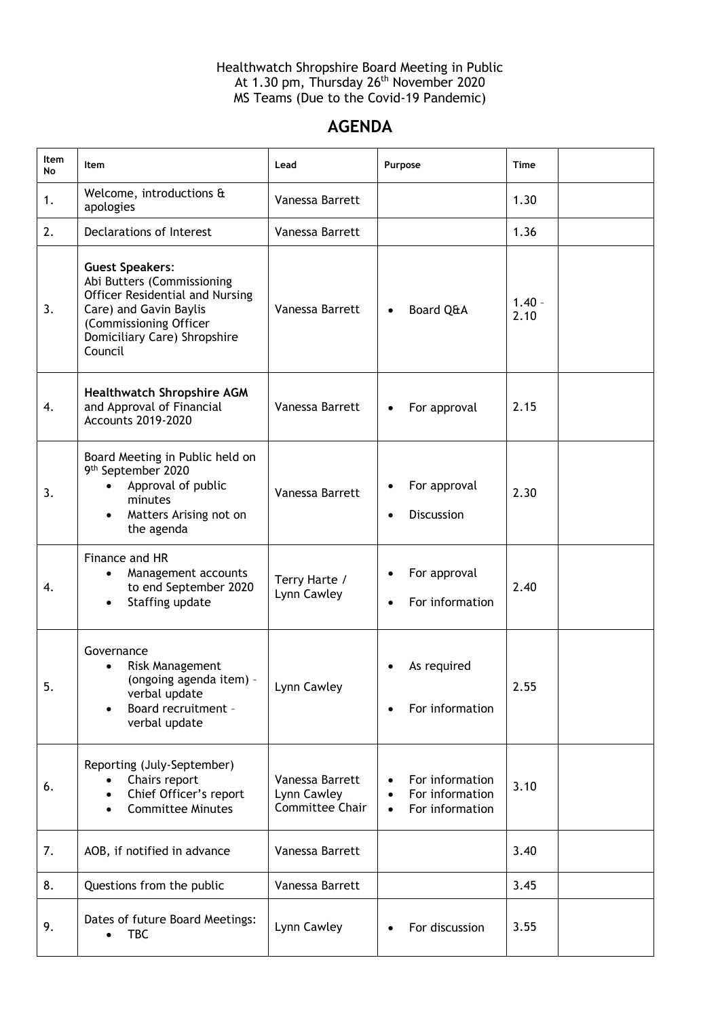Healthwatch Shropshire Board Meeting in Public At 1.30 pm, Thursday 26<sup>th</sup> November 2020 MS Teams (Due to the Covid-19 Pandemic)

## **AGENDA**

| <b>Item</b><br>No | Item                                                                                                                                                                                   | Lead                                                     | Purpose                                                                         | <b>Time</b>      |  |
|-------------------|----------------------------------------------------------------------------------------------------------------------------------------------------------------------------------------|----------------------------------------------------------|---------------------------------------------------------------------------------|------------------|--|
| 1.                | Welcome, introductions &<br>apologies                                                                                                                                                  | Vanessa Barrett                                          |                                                                                 | 1.30             |  |
| 2.                | Declarations of Interest                                                                                                                                                               | Vanessa Barrett                                          |                                                                                 | 1.36             |  |
| 3.                | <b>Guest Speakers:</b><br>Abi Butters (Commissioning<br>Officer Residential and Nursing<br>Care) and Gavin Baylis<br>(Commissioning Officer<br>Domiciliary Care) Shropshire<br>Council | Vanessa Barrett                                          | Board Q&A<br>$\bullet$                                                          | $1.40 -$<br>2.10 |  |
| 4.                | <b>Healthwatch Shropshire AGM</b><br>and Approval of Financial<br><b>Accounts 2019-2020</b>                                                                                            | Vanessa Barrett                                          | For approval<br>$\bullet$                                                       | 2.15             |  |
| 3.                | Board Meeting in Public held on<br>9 <sup>th</sup> September 2020<br>Approval of public<br>minutes<br>Matters Arising not on<br>the agenda                                             | Vanessa Barrett                                          | For approval<br><b>Discussion</b><br>$\bullet$                                  | 2.30             |  |
| 4.                | Finance and HR<br>Management accounts<br>to end September 2020<br>Staffing update                                                                                                      | Terry Harte /<br>Lynn Cawley                             | For approval<br>For information<br>$\bullet$                                    | 2.40             |  |
| 5.                | Governance<br><b>Risk Management</b><br>(ongoing agenda item) -<br>verbal update<br>Board recruitment -<br>$\bullet$<br>verbal update                                                  | Lynn Cawley                                              | As required<br>For information<br>$\bullet$                                     | 2.55             |  |
| 6.                | Reporting (July-September)<br>Chairs report<br>Chief Officer's report<br><b>Committee Minutes</b><br>$\bullet$                                                                         | Vanessa Barrett<br>Lynn Cawley<br><b>Committee Chair</b> | For information<br>For information<br>$\bullet$<br>For information<br>$\bullet$ | 3.10             |  |
| 7.                | AOB, if notified in advance                                                                                                                                                            | Vanessa Barrett                                          |                                                                                 | 3.40             |  |
| 8.                | Questions from the public                                                                                                                                                              | Vanessa Barrett                                          |                                                                                 | 3.45             |  |
| 9.                | Dates of future Board Meetings:<br><b>TBC</b><br>$\bullet$                                                                                                                             | Lynn Cawley                                              | For discussion                                                                  | 3.55             |  |